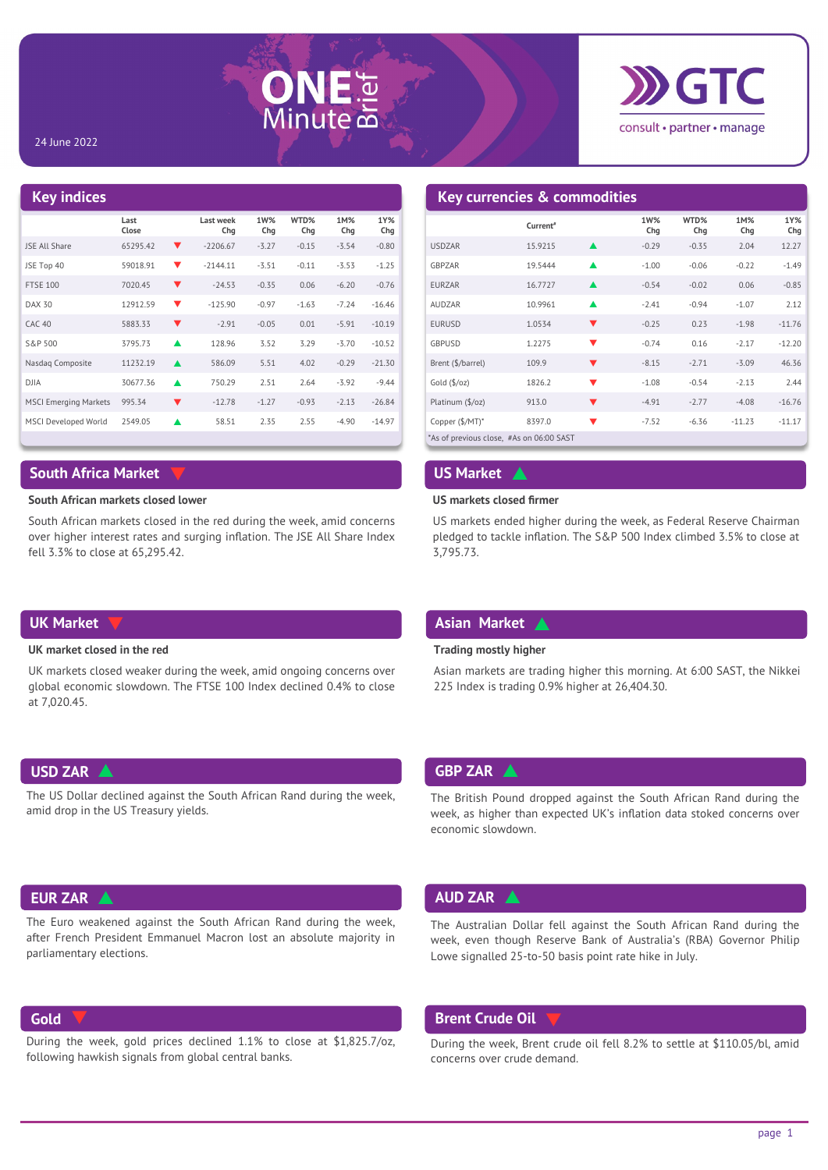



### 24 June 2022

### **Key indices Last Close WTD% Chg 1M% Chg 1Y% Chg Last week Chg 1W% Chg** JSE All Share 65295.42 ▼ -2206.67 -3.27 -0.15 -3.54 -0.80 JSE Top 40 59018.91 -2144.11 -3.51 -0.11 -3.53 -1.25 FTSE 100 7020.45 ▼ 24.53 -0.35 0.06 -6.20 -0.76 DAX 30 12912.59 ● 125.90 -0.97 -1.63 -7.24 -16.46  $CAC 40$  5883.33  $\sqrt{2}$  -2.91 -0.05 0.01 -5.91 -10.19 S&P 500 3795.73 128.96 3.52 3.29 -3.70 -10.52 Nasdaq Composite 11232.19 ▲ 586.09 5.51 4.02 -0.29 -21.30 DJIA 30677.36 750.29 2.51 2.64 -3.92 -9.44 MSCI Emerging Markets 995.34 ▼ -12.78 -1.27 -0.93 -2.13 -26.84 MSCI Developed World 2549.05 58.51 2.35 2.55 -4.90 -14.97

# **South Africa Market**

### **South African markets closed lower**

South African markets closed in the red during the week, amid concerns over higher interest rates and surging inflation. The JSE All Share Index fell 3.3% to close at 65,295.42.

# **Key currencies & commodities**

|                                          | Current <sup>#</sup> |                      | 1W%<br>Chq | WTD%<br>Chq | 1M%<br>Chg | 1Y%<br>Chg |
|------------------------------------------|----------------------|----------------------|------------|-------------|------------|------------|
| <b>USDZAR</b>                            | 15.9215              |                      | $-0.29$    | $-0.35$     | 2.04       | 12.27      |
| GBPZAR                                   | 19.5444              |                      | $-1.00$    | $-0.06$     | $-0.22$    | $-1.49$    |
| <b>EURZAR</b>                            | 16.7727              | $\blacktriangle$     | $-0.54$    | $-0.02$     | 0.06       | $-0.85$    |
| <b>AUDZAR</b>                            | 10.9961              |                      | $-2.41$    | $-0.94$     | $-1.07$    | 2.12       |
| <b>EURUSD</b>                            | 1.0534               |                      | $-0.25$    | 0.23        | $-1.98$    | $-11.76$   |
| <b>GBPUSD</b>                            | 1.2275               | $\blacktriangledown$ | $-0.74$    | 0.16        | $-2.17$    | $-12.20$   |
| Brent (\$/barrel)                        | 109.9                | ▼                    | $-8.15$    | $-2.71$     | $-3.09$    | 46.36      |
| Gold $(\frac{5}{oz})$                    | 1826.2               |                      | $-1.08$    | $-0.54$     | $-2.13$    | 2.44       |
| Platinum (\$/oz)                         | 913.0                |                      | $-4.91$    | $-2.77$     | $-4.08$    | $-16.76$   |
| Copper (\$/MT)*                          | 8397.0               | ▼                    | $-7.52$    | $-6.36$     | $-11.23$   | $-11.17$   |
| *As of previous close, #As on 06:00 SAST |                      |                      |            |             |            |            |

### **US Market**

### **US markets closed firmer**

 $\blacktriangle$ 

US markets ended higher during the week, as Federal Reserve Chairman pledged to tackle inflation. The S&P 500 Index climbed 3.5% to close at 3,795.73.

## **UK Market**

### **UK market closed in the red**

UK markets closed weaker during the week, amid ongoing concerns over global economic slowdown. The FTSE 100 Index declined 0.4% to close at 7,020.45.

# **USD ZAR**

The US Dollar declined against the South African Rand during the week, amid drop in the US Treasury yields.

# **EUR ZAR**

 $\blacktriangle$ 

The Euro weakened against the South African Rand during the week, after French President Emmanuel Macron lost an absolute majority in parliamentary elections.

### **Gold**

During the week, gold prices declined 1.1% to close at \$1,825.7/oz, following hawkish signals from global central banks.

### **Asian Market**   $\blacktriangle$

### **Trading mostly higher**

Asian markets are trading higher this morning. At 6:00 SAST, the Nikkei 225 Index is trading 0.9% higher at 26,404.30.

# ▲ **BBP ZAR** ▲

The British Pound dropped against the South African Rand during the week, as higher than expected UK's inflation data stoked concerns over economic slowdown.

## **AUD ZAR**

 $\blacktriangle$ 

The Australian Dollar fell against the South African Rand during the week, even though Reserve Bank of Australia's (RBA) Governor Philip Lowe signalled 25-to-50 basis point rate hike in July.

# **Brent Crude Oil**  $\forall$

During the week, Brent crude oil fell 8.2% to settle at \$110.05/bl, amid concerns over crude demand.